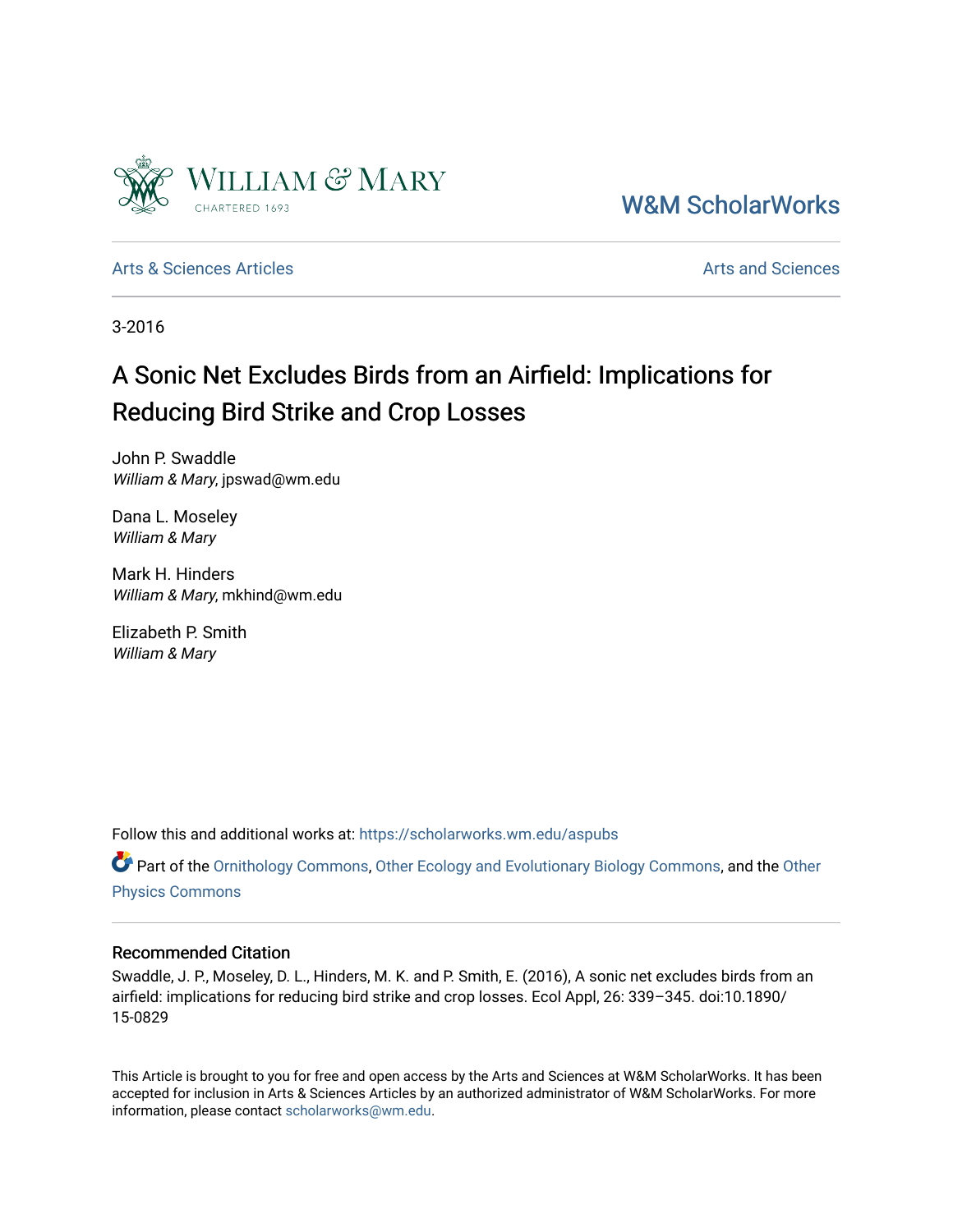

[W&M ScholarWorks](https://scholarworks.wm.edu/) 

[Arts & Sciences Articles](https://scholarworks.wm.edu/aspubs) **Articles** [Arts and Sciences](https://scholarworks.wm.edu/as) Articles Arts and Sciences Arts and Sciences Articles **Arts** and Sciences Arts and Sciences **Arts** and Sciences **Arts** and Sciences **Arts** and Sciences **Arts** and Scien

3-2016

## A Sonic Net Excludes Birds from an Airfield: Implications for Reducing Bird Strike and Crop Losses

John P. Swaddle William & Mary, jpswad@wm.edu

Dana L. Moseley William & Mary

Mark H. Hinders William & Mary, mkhind@wm.edu

Elizabeth P. Smith William & Mary

Follow this and additional works at: [https://scholarworks.wm.edu/aspubs](https://scholarworks.wm.edu/aspubs?utm_source=scholarworks.wm.edu%2Faspubs%2F1&utm_medium=PDF&utm_campaign=PDFCoverPages) 

**P** Part of the [Ornithology Commons,](http://network.bepress.com/hgg/discipline/1190?utm_source=scholarworks.wm.edu%2Faspubs%2F1&utm_medium=PDF&utm_campaign=PDFCoverPages) [Other Ecology and Evolutionary Biology Commons](http://network.bepress.com/hgg/discipline/21?utm_source=scholarworks.wm.edu%2Faspubs%2F1&utm_medium=PDF&utm_campaign=PDFCoverPages), and the Other [Physics Commons](http://network.bepress.com/hgg/discipline/207?utm_source=scholarworks.wm.edu%2Faspubs%2F1&utm_medium=PDF&utm_campaign=PDFCoverPages)

### Recommended Citation

Swaddle, J. P., Moseley, D. L., Hinders, M. K. and P. Smith, E. (2016), A sonic net excludes birds from an airfield: implications for reducing bird strike and crop losses. Ecol Appl, 26: 339–345. doi:10.1890/ 15-0829

This Article is brought to you for free and open access by the Arts and Sciences at W&M ScholarWorks. It has been accepted for inclusion in Arts & Sciences Articles by an authorized administrator of W&M ScholarWorks. For more information, please contact [scholarworks@wm.edu](mailto:scholarworks@wm.edu).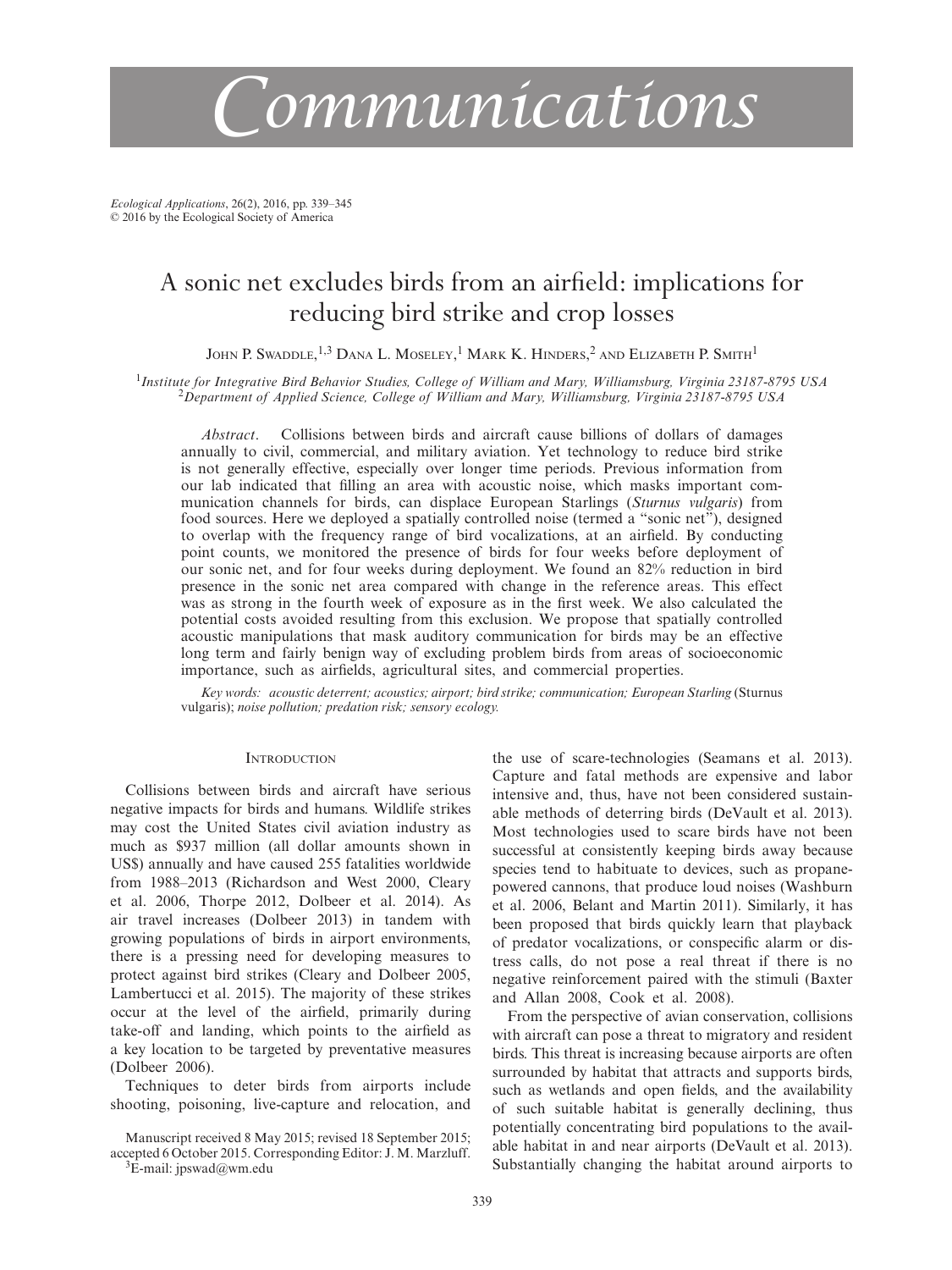# *Communications*

*Ecological Applications*, 26(2), 2016, pp. 339–345 © 2016 by the Ecological Society of America

## A sonic net excludes birds from an airfield: implications for reducing bird strike and crop losses

John P. Swaddle, <sup>1,3</sup> Dana L. Moseley, <sup>1</sup> Mark K. Hinders, <sup>2</sup> and Elizabeth P. Smith <sup>1</sup>

<sup>1</sup>Institute for Integrative Bird Behavior Studies, College of William and Mary, Williamsburg, Virginia 23187-8795 USA<br><sup>2</sup>Department of Applied Science, College of William and Mary, Williamsburg, Virginia 23187-8795 USA

*Abstract*. Collisions between birds and aircraft cause billions of dollars of damages annually to civil, commercial, and military aviation. Yet technology to reduce bird strike is not generally effective, especially over longer time periods. Previous information from our lab indicated that filling an area with acoustic noise, which masks important communication channels for birds, can displace European Starlings (*Sturnus vulgaris*) from food sources. Here we deployed a spatially controlled noise (termed a "sonic net"), designed to overlap with the frequency range of bird vocalizations, at an airfield. By conducting point counts, we monitored the presence of birds for four weeks before deployment of our sonic net, and for four weeks during deployment. We found an 82% reduction in bird presence in the sonic net area compared with change in the reference areas. This effect was as strong in the fourth week of exposure as in the first week. We also calculated the potential costs avoided resulting from this exclusion. We propose that spatially controlled acoustic manipulations that mask auditory communication for birds may be an effective long term and fairly benign way of excluding problem birds from areas of socioeconomic importance, such as airfields, agricultural sites, and commercial properties.

*Key words: acoustic deterrent; acoustics; airport; bird strike; communication; European Starling* (Sturnus vulgaris); *noise pollution; predation risk; sensory ecology.*

#### **INTRODUCTION**

Collisions between birds and aircraft have serious negative impacts for birds and humans. Wildlife strikes may cost the United States civil aviation industry as much as \$937 million (all dollar amounts shown in US\$) annually and have caused 255 fatalities worldwide from 1988–2013 (Richardson and West 2000, Cleary et al. 2006, Thorpe 2012, Dolbeer et al. 2014). As air travel increases (Dolbeer 2013) in tandem with growing populations of birds in airport environments, there is a pressing need for developing measures to protect against bird strikes (Cleary and Dolbeer 2005, Lambertucci et al. 2015). The majority of these strikes occur at the level of the airfield, primarily during take-off and landing, which points to the airfield as a key location to be targeted by preventative measures (Dolbeer 2006).

Techniques to deter birds from airports include shooting, poisoning, live-capture and relocation, and

Manuscript received 8 May 2015; revised 18 September 2015; accepted 6 October 2015. Corresponding Editor: J. M. Marzluff.  ${}^{3}E$ -mail: [jpswad@wm.edu](mailto:jpswad@wm.edu)

the use of scare-technologies (Seamans et al. 2013). Capture and fatal methods are expensive and labor intensive and, thus, have not been considered sustainable methods of deterring birds (DeVault et al. 2013). Most technologies used to scare birds have not been successful at consistently keeping birds away because species tend to habituate to devices, such as propanepowered cannons, that produce loud noises (Washburn et al. 2006, Belant and Martin 2011). Similarly, it has been proposed that birds quickly learn that playback of predator vocalizations, or conspecific alarm or distress calls, do not pose a real threat if there is no negative reinforcement paired with the stimuli (Baxter and Allan 2008, Cook et al. 2008).

From the perspective of avian conservation, collisions with aircraft can pose a threat to migratory and resident birds. This threat is increasing because airports are often surrounded by habitat that attracts and supports birds, such as wetlands and open fields, and the availability of such suitable habitat is generally declining, thus potentially concentrating bird populations to the available habitat in and near airports (DeVault et al. 2013). Substantially changing the habitat around airports to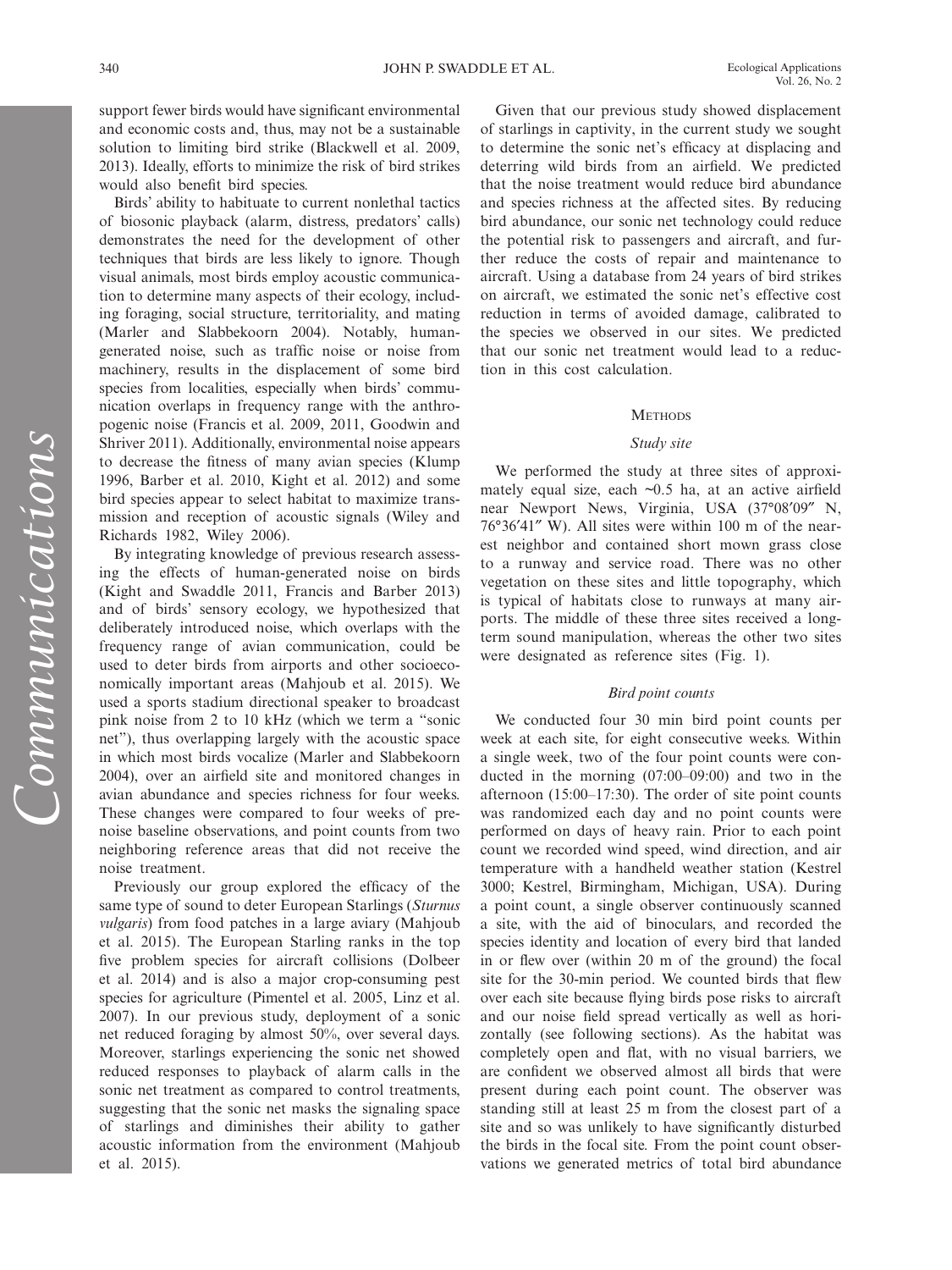support fewer birds would have significant environmental and economic costs and, thus, may not be a sustainable solution to limiting bird strike (Blackwell et al. 2009, 2013). Ideally, efforts to minimize the risk of bird strikes would also benefit bird species.

Birds' ability to habituate to current nonlethal tactics of biosonic playback (alarm, distress, predators' calls) demonstrates the need for the development of other techniques that birds are less likely to ignore. Though visual animals, most birds employ acoustic communication to determine many aspects of their ecology, including foraging, social structure, territoriality, and mating (Marler and Slabbekoorn 2004). Notably, humangenerated noise, such as traffic noise or noise from machinery, results in the displacement of some bird species from localities, especially when birds' communication overlaps in frequency range with the anthropogenic noise (Francis et al. 2009, 2011, Goodwin and Shriver 2011). Additionally, environmental noise appears to decrease the fitness of many avian species (Klump 1996, Barber et al. 2010, Kight et al. 2012) and some bird species appear to select habitat to maximize transmission and reception of acoustic signals (Wiley and Richards 1982, Wiley 2006).

By integrating knowledge of previous research assessing the effects of human-generated noise on birds (Kight and Swaddle 2011, Francis and Barber 2013) and of birds' sensory ecology, we hypothesized that deliberately introduced noise, which overlaps with the frequency range of avian communication, could be used to deter birds from airports and other socioeconomically important areas (Mahjoub et al. 2015). We used a sports stadium directional speaker to broadcast pink noise from 2 to 10 kHz (which we term a "sonic net"), thus overlapping largely with the acoustic space in which most birds vocalize (Marler and Slabbekoorn 2004), over an airfield site and monitored changes in avian abundance and species richness for four weeks. These changes were compared to four weeks of prenoise baseline observations, and point counts from two neighboring reference areas that did not receive the noise treatment.

Previously our group explored the efficacy of the same type of sound to deter European Starlings (*Sturnus vulgaris*) from food patches in a large aviary (Mahjoub et al. 2015). The European Starling ranks in the top five problem species for aircraft collisions (Dolbeer et al. 2014) and is also a major crop-consuming pest species for agriculture (Pimentel et al. 2005, Linz et al. 2007). In our previous study, deployment of a sonic net reduced foraging by almost 50%, over several days. Moreover, starlings experiencing the sonic net showed reduced responses to playback of alarm calls in the sonic net treatment as compared to control treatments, suggesting that the sonic net masks the signaling space of starlings and diminishes their ability to gather acoustic information from the environment (Mahjoub et al. 2015).

Given that our previous study showed displacement of starlings in captivity, in the current study we sought to determine the sonic net's efficacy at displacing and deterring wild birds from an airfield. We predicted that the noise treatment would reduce bird abundance and species richness at the affected sites. By reducing bird abundance, our sonic net technology could reduce the potential risk to passengers and aircraft, and further reduce the costs of repair and maintenance to aircraft. Using a database from 24 years of bird strikes on aircraft, we estimated the sonic net's effective cost reduction in terms of avoided damage, calibrated to the species we observed in our sites. We predicted that our sonic net treatment would lead to a reduction in this cost calculation.

#### **METHODS**

#### *Study site*

We performed the study at three sites of approximately equal size, each  $\sim 0.5$  ha, at an active airfield near Newport News, Virginia, USA (37°08′09″ N, 76°36′41″ W). All sites were within 100 m of the nearest neighbor and contained short mown grass close to a runway and service road. There was no other vegetation on these sites and little topography, which is typical of habitats close to runways at many airports. The middle of these three sites received a longterm sound manipulation, whereas the other two sites were designated as reference sites (Fig. 1).

#### *Bird point counts*

We conducted four 30 min bird point counts per week at each site, for eight consecutive weeks. Within a single week, two of the four point counts were conducted in the morning (07:00–09:00) and two in the afternoon (15:00–17:30). The order of site point counts was randomized each day and no point counts were performed on days of heavy rain. Prior to each point count we recorded wind speed, wind direction, and air temperature with a handheld weather station (Kestrel 3000; Kestrel, Birmingham, Michigan, USA). During a point count, a single observer continuously scanned a site, with the aid of binoculars, and recorded the species identity and location of every bird that landed in or flew over (within 20 m of the ground) the focal site for the 30-min period. We counted birds that flew over each site because flying birds pose risks to aircraft and our noise field spread vertically as well as horizontally (see following sections). As the habitat was completely open and flat, with no visual barriers, we are confident we observed almost all birds that were present during each point count. The observer was standing still at least 25 m from the closest part of a site and so was unlikely to have significantly disturbed the birds in the focal site. From the point count observations we generated metrics of total bird abundance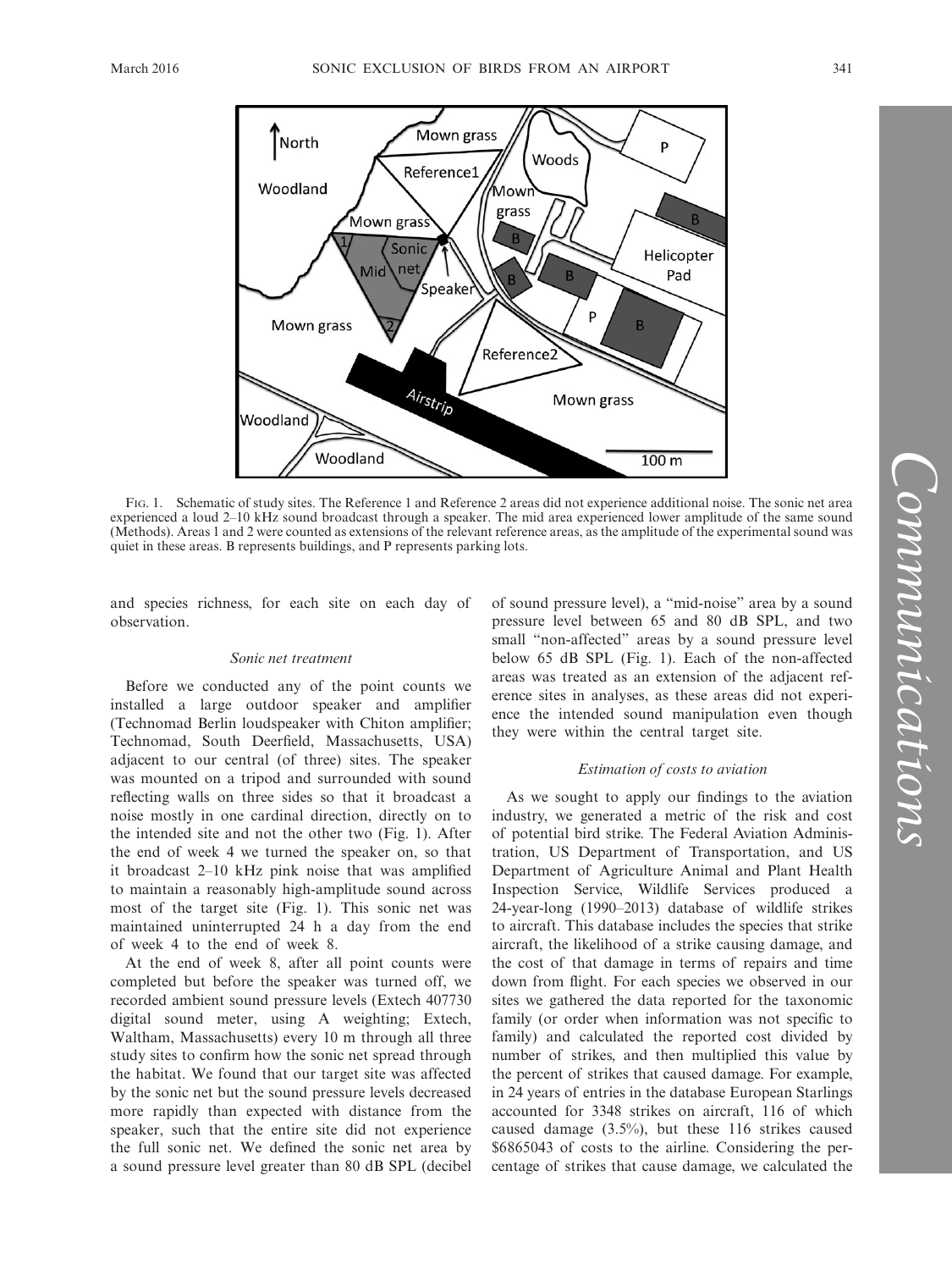

Fig. 1. Schematic of study sites. The Reference 1 and Reference 2 areas did not experience additional noise. The sonic net area experienced a loud 2–10 kHz sound broadcast through a speaker. The mid area experienced lower amplitude of the same sound (Methods). Areas 1 and 2 were counted as extensions of the relevant reference areas, as the amplitude of the experimental sound was quiet in these areas. B represents buildings, and P represents parking lots.

and species richness, for each site on each day of observation.

#### *Sonic net treatment*

Before we conducted any of the point counts we installed a large outdoor speaker and amplifier (Technomad Berlin loudspeaker with Chiton amplifier; Technomad, South Deerfield, Massachusetts, USA) adjacent to our central (of three) sites. The speaker was mounted on a tripod and surrounded with sound reflecting walls on three sides so that it broadcast a noise mostly in one cardinal direction, directly on to the intended site and not the other two (Fig. 1). After the end of week 4 we turned the speaker on, so that it broadcast 2–10 kHz pink noise that was amplified to maintain a reasonably high-amplitude sound across most of the target site (Fig. 1). This sonic net was maintained uninterrupted 24 h a day from the end of week 4 to the end of week 8.

At the end of week 8, after all point counts were completed but before the speaker was turned off, we recorded ambient sound pressure levels (Extech 407730 digital sound meter, using A weighting; Extech, Waltham, Massachusetts) every 10 m through all three study sites to confirm how the sonic net spread through the habitat. We found that our target site was affected by the sonic net but the sound pressure levels decreased more rapidly than expected with distance from the speaker, such that the entire site did not experience the full sonic net. We defined the sonic net area by a sound pressure level greater than 80 dB SPL (decibel of sound pressure level), a "mid-noise" area by a sound pressure level between 65 and 80 dB SPL, and two small "non-affected" areas by a sound pressure level below 65 dB SPL (Fig. 1). Each of the non-affected areas was treated as an extension of the adjacent reference sites in analyses, as these areas did not experience the intended sound manipulation even though they were within the central target site.

#### *Estimation of costs to aviation*

As we sought to apply our findings to the aviation industry, we generated a metric of the risk and cost of potential bird strike. The Federal Aviation Administration, US Department of Transportation, and US Department of Agriculture Animal and Plant Health Inspection Service, Wildlife Services produced a 24-year-long (1990–2013) database of wildlife strikes to aircraft. This database includes the species that strike aircraft, the likelihood of a strike causing damage, and the cost of that damage in terms of repairs and time down from flight. For each species we observed in our sites we gathered the data reported for the taxonomic family (or order when information was not specific to family) and calculated the reported cost divided by number of strikes, and then multiplied this value by the percent of strikes that caused damage. For example, in 24 years of entries in the database European Starlings accounted for 3348 strikes on aircraft, 116 of which caused damage (3.5%), but these 116 strikes caused \$6865043 of costs to the airline. Considering the percentage of strikes that cause damage, we calculated the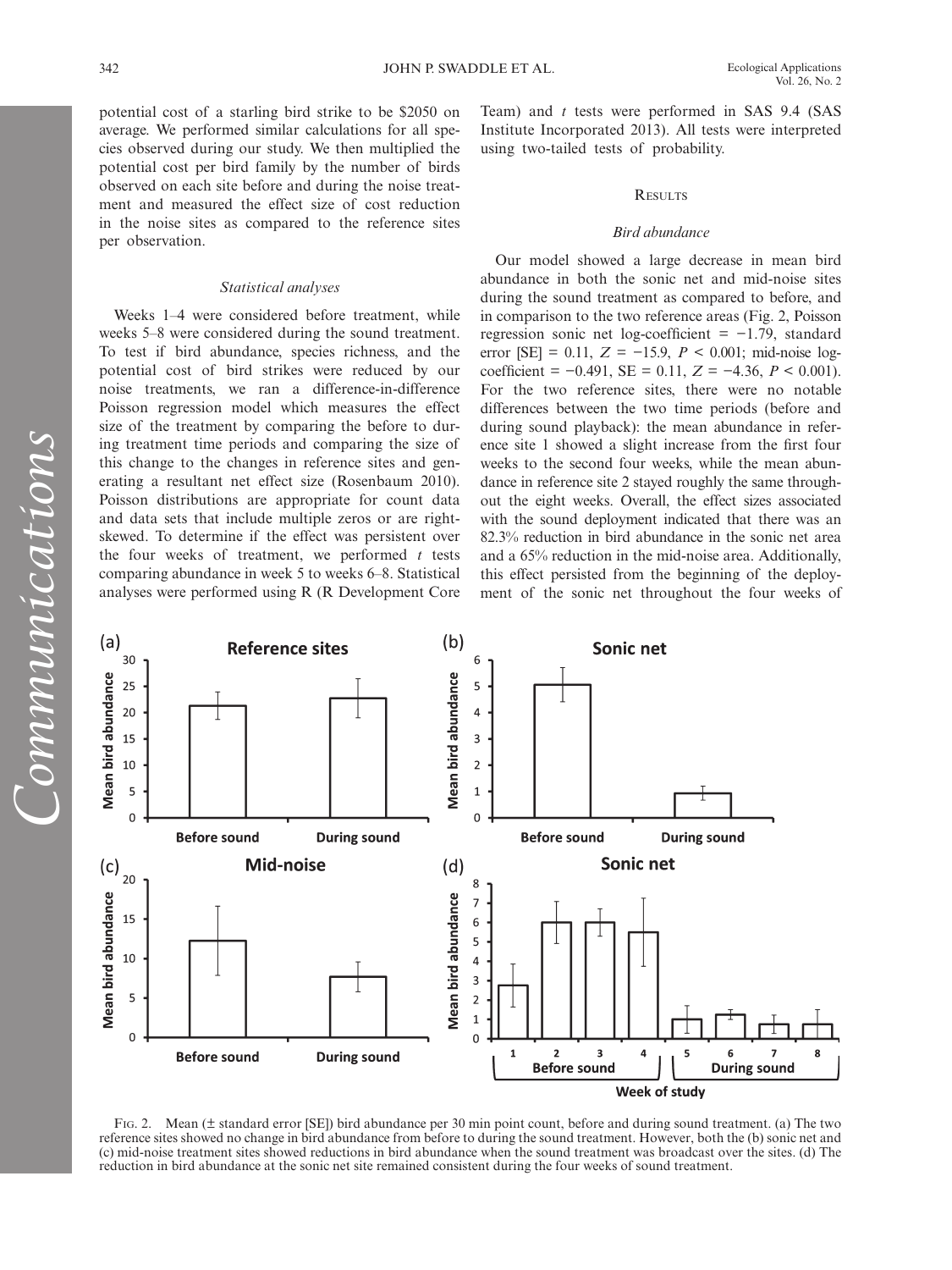potential cost of a starling bird strike to be \$2050 on average. We performed similar calculations for all species observed during our study. We then multiplied the potential cost per bird family by the number of birds observed on each site before and during the noise treatment and measured the effect size of cost reduction in the noise sites as compared to the reference sites per observation.

#### *Statistical analyses*

Weeks 1–4 were considered before treatment, while weeks 5–8 were considered during the sound treatment. To test if bird abundance, species richness, and the potential cost of bird strikes were reduced by our noise treatments, we ran a difference-in-difference Poisson regression model which measures the effect size of the treatment by comparing the before to during treatment time periods and comparing the size of this change to the changes in reference sites and generating a resultant net effect size (Rosenbaum 2010). Poisson distributions are appropriate for count data and data sets that include multiple zeros or are rightskewed. To determine if the effect was persistent over the four weeks of treatment, we performed *t* tests comparing abundance in week 5 to weeks 6–8. Statistical analyses were performed using R (R Development Core Team) and *t* tests were performed in SAS 9.4 (SAS Institute Incorporated 2013). All tests were interpreted using two-tailed tests of probability.

#### **RESULTS**

#### *Bird abundance*

Our model showed a large decrease in mean bird abundance in both the sonic net and mid-noise sites during the sound treatment as compared to before, and in comparison to the two reference areas (Fig. 2, Poisson regression sonic net log-coefficient = −1.79, standard error [SE] = 0.11, *Z* = −15.9, *P* < 0.001; mid-noise logcoefficient = −0.491, SE = 0.11, *Z* = −4.36, *P* < 0.001). For the two reference sites, there were no notable differences between the two time periods (before and during sound playback): the mean abundance in reference site 1 showed a slight increase from the first four weeks to the second four weeks, while the mean abundance in reference site 2 stayed roughly the same throughout the eight weeks. Overall, the effect sizes associated with the sound deployment indicated that there was an 82.3% reduction in bird abundance in the sonic net area and a 65% reduction in the mid-noise area. Additionally, this effect persisted from the beginning of the deployment of the sonic net throughout the four weeks of



Fig. 2. Mean (± standard error [SE]) bird abundance per 30 min point count, before and during sound treatment. (a) The two reference sites showed no change in bird abundance from before to during the sound treatment. However, both the (b) sonic net and (c) mid-noise treatment sites showed reductions in bird abundance when the sound treatment was broadcast over the sites. (d) The reduction in bird abundance at the sonic net site remained consistent during the four weeks of sound treatment.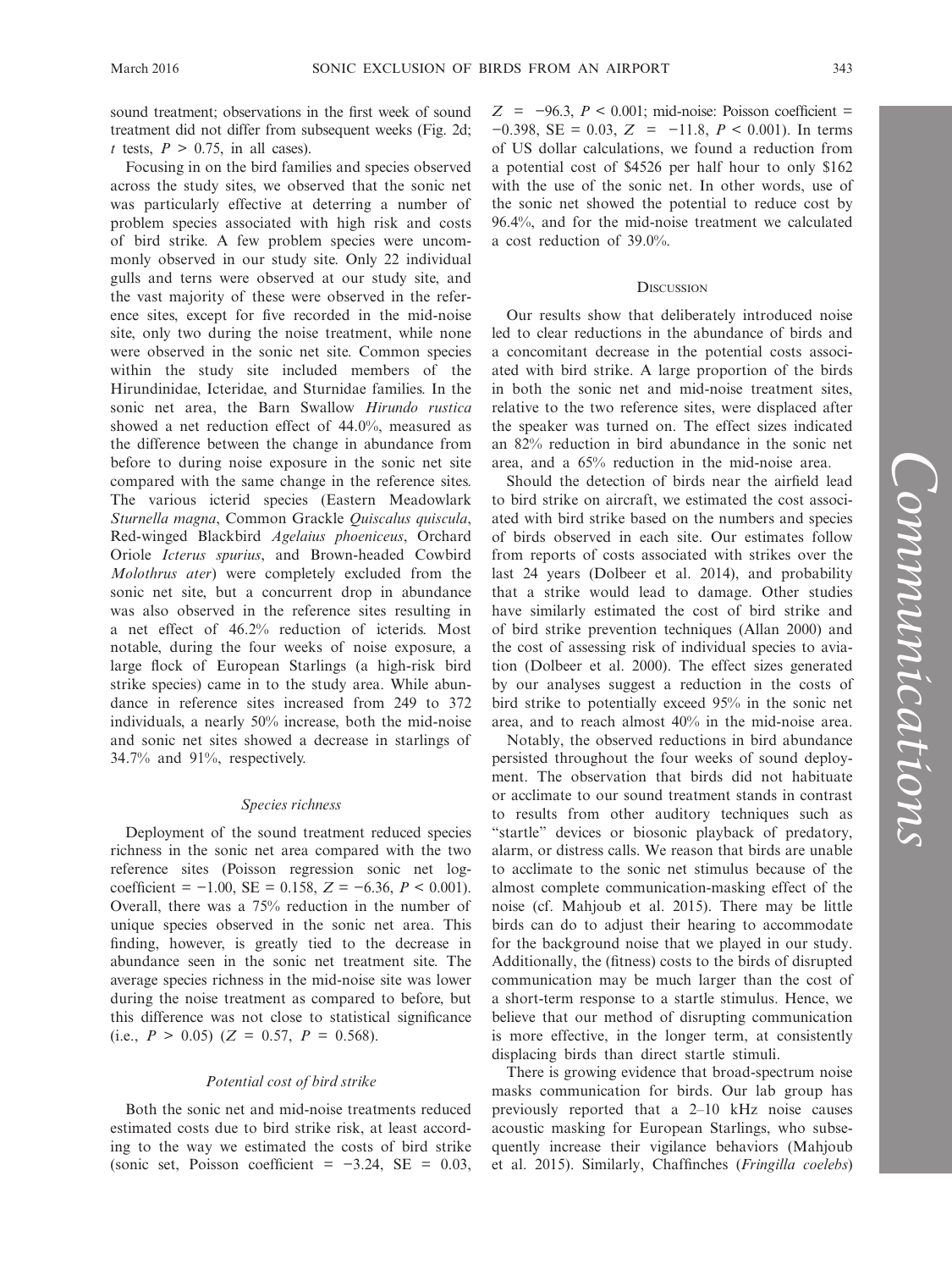sound treatment; observations in the first week of sound treatment did not differ from subsequent weeks (Fig. 2d; *t* tests,  $P > 0.75$ , in all cases).

Focusing in on the bird families and species observed across the study sites, we observed that the sonic net was particularly effective at deterring a number of problem species associated with high risk and costs of bird strike. A few problem species were uncommonly observed in our study site. Only 22 individual gulls and terns were observed at our study site, and the vast majority of these were observed in the reference sites, except for five recorded in the mid-noise site, only two during the noise treatment, while none were observed in the sonic net site. Common species within the study site included members of the Hirundinidae, Icteridae, and Sturnidae families. In the sonic net area, the Barn Swallow *Hirundo rustica* showed a net reduction effect of 44.0%, measured as the difference between the change in abundance from before to during noise exposure in the sonic net site compared with the same change in the reference sites. The various icterid species (Eastern Meadowlark *Sturnella magna*, Common Grackle *Quiscalus quiscula*, Red-winged Blackbird *Agelaius phoeniceus*, Orchard Oriole *Icterus spurius*, and Brown-headed Cowbird *Molothrus ater*) were completely excluded from the sonic net site, but a concurrent drop in abundance was also observed in the reference sites resulting in a net effect of 46.2% reduction of icterids. Most notable, during the four weeks of noise exposure, a large flock of European Starlings (a high-risk bird strike species) came in to the study area. While abundance in reference sites increased from 249 to 372 individuals, a nearly 50% increase, both the mid-noise and sonic net sites showed a decrease in starlings of 34.7% and 91%, respectively.

#### *Species richness*

Deployment of the sound treatment reduced species richness in the sonic net area compared with the two reference sites (Poisson regression sonic net logcoefficient = −1.00, SE = 0.158, *Z* = −6.36, *P* < 0.001). Overall, there was a 75% reduction in the number of unique species observed in the sonic net area. This finding, however, is greatly tied to the decrease in abundance seen in the sonic net treatment site. The average species richness in the mid-noise site was lower during the noise treatment as compared to before, but this difference was not close to statistical significance (i.e.,  $P > 0.05$ ) ( $Z = 0.57$ ,  $P = 0.568$ ).

#### *Potential cost of bird strike*

Both the sonic net and mid-noise treatments reduced estimated costs due to bird strike risk, at least according to the way we estimated the costs of bird strike (sonic set, Poisson coefficient =  $-3.24$ , SE = 0.03,

*Z* = −96.3, *P* < 0.001; mid-noise: Poisson coefficient = −0.398, SE = 0.03, *Z* = −11.8, *P* < 0.001). In terms of US dollar calculations, we found a reduction from a potential cost of \$4526 per half hour to only \$162 with the use of the sonic net. In other words, use of the sonic net showed the potential to reduce cost by 96.4%, and for the mid-noise treatment we calculated a cost reduction of 39.0%.

#### **DISCUSSION**

Our results show that deliberately introduced noise led to clear reductions in the abundance of birds and a concomitant decrease in the potential costs associated with bird strike. A large proportion of the birds in both the sonic net and mid-noise treatment sites, relative to the two reference sites, were displaced after the speaker was turned on. The effect sizes indicated an 82% reduction in bird abundance in the sonic net area, and a 65% reduction in the mid-noise area.

Should the detection of birds near the airfield lead to bird strike on aircraft, we estimated the cost associated with bird strike based on the numbers and species of birds observed in each site. Our estimates follow from reports of costs associated with strikes over the last 24 years (Dolbeer et al. 2014), and probability that a strike would lead to damage. Other studies have similarly estimated the cost of bird strike and of bird strike prevention techniques (Allan 2000) and the cost of assessing risk of individual species to aviation (Dolbeer et al. 2000). The effect sizes generated by our analyses suggest a reduction in the costs of bird strike to potentially exceed 95% in the sonic net area, and to reach almost 40% in the mid-noise area.

Notably, the observed reductions in bird abundance persisted throughout the four weeks of sound deployment. The observation that birds did not habituate or acclimate to our sound treatment stands in contrast to results from other auditory techniques such as "startle" devices or biosonic playback of predatory, alarm, or distress calls. We reason that birds are unable to acclimate to the sonic net stimulus because of the almost complete communication-masking effect of the noise (cf. Mahjoub et al. 2015). There may be little birds can do to adjust their hearing to accommodate for the background noise that we played in our study. Additionally, the (fitness) costs to the birds of disrupted communication may be much larger than the cost of a short-term response to a startle stimulus. Hence, we believe that our method of disrupting communication is more effective, in the longer term, at consistently displacing birds than direct startle stimuli.

There is growing evidence that broad-spectrum noise masks communication for birds. Our lab group has previously reported that a 2–10 kHz noise causes acoustic masking for European Starlings, who subsequently increase their vigilance behaviors (Mahjoub et al. 2015). Similarly, Chaffinches (*Fringilla coelebs*)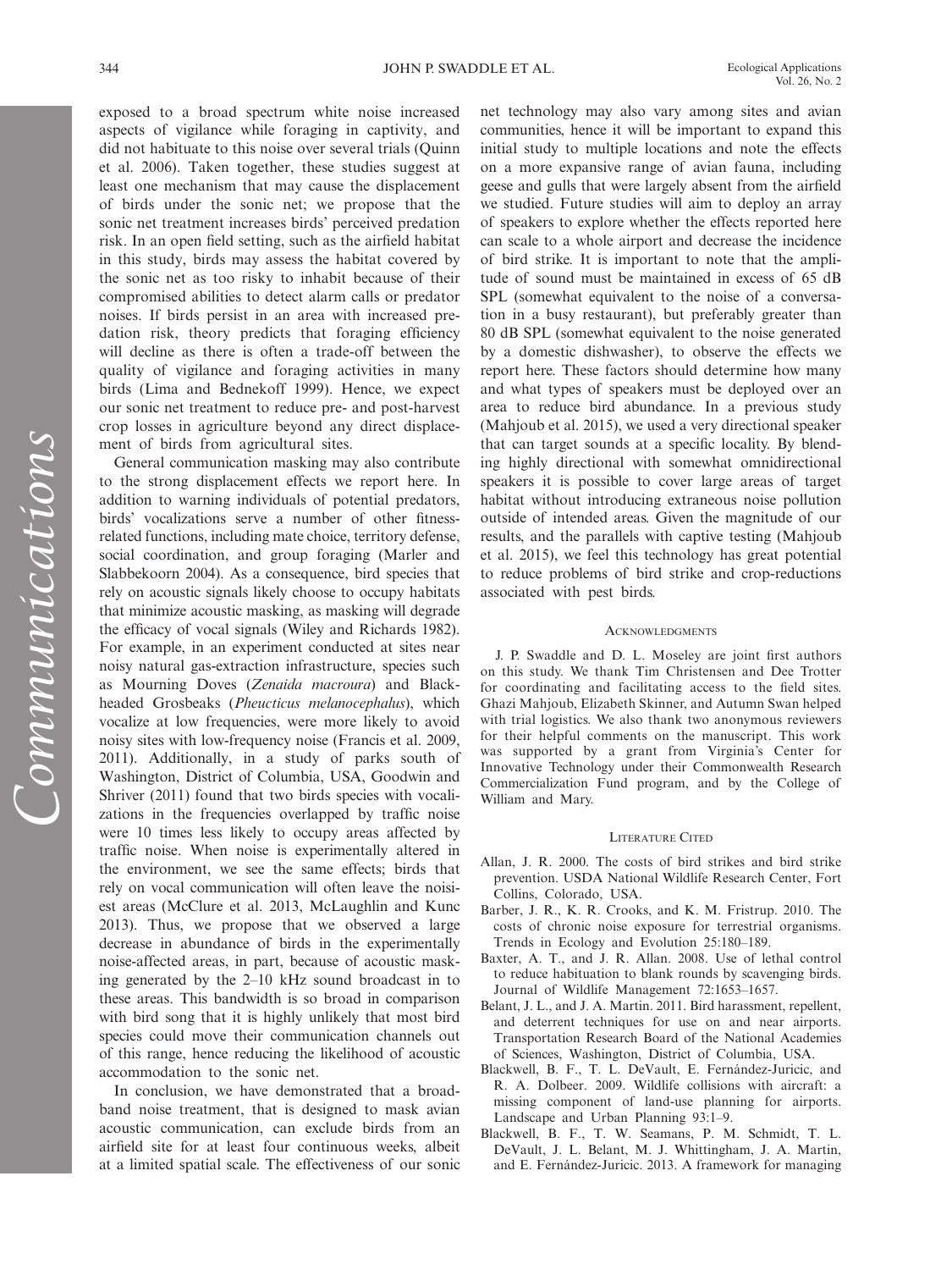exposed to a broad spectrum white noise increased aspects of vigilance while foraging in captivity, and did not habituate to this noise over several trials (Quinn et al. 2006). Taken together, these studies suggest at least one mechanism that may cause the displacement of birds under the sonic net; we propose that the sonic net treatment increases birds' perceived predation risk. In an open field setting, such as the airfield habitat in this study, birds may assess the habitat covered by the sonic net as too risky to inhabit because of their compromised abilities to detect alarm calls or predator noises. If birds persist in an area with increased predation risk, theory predicts that foraging efficiency will decline as there is often a trade-off between the quality of vigilance and foraging activities in many birds (Lima and Bednekoff 1999). Hence, we expect our sonic net treatment to reduce pre- and post-harvest crop losses in agriculture beyond any direct displacement of birds from agricultural sites.

General communication masking may also contribute to the strong displacement effects we report here. In addition to warning individuals of potential predators, birds' vocalizations serve a number of other fitnessrelated functions, including mate choice, territory defense, social coordination, and group foraging (Marler and Slabbekoorn 2004). As a consequence, bird species that rely on acoustic signals likely choose to occupy habitats that minimize acoustic masking, as masking will degrade the efficacy of vocal signals (Wiley and Richards 1982). For example, in an experiment conducted at sites near noisy natural gas-extraction infrastructure, species such as Mourning Doves (*Zenaida macroura*) and Blackheaded Grosbeaks (*Pheucticus melanocephalus*), which vocalize at low frequencies, were more likely to avoid noisy sites with low-frequency noise (Francis et al. 2009, 2011). Additionally, in a study of parks south of Washington, District of Columbia, USA, Goodwin and Shriver (2011) found that two birds species with vocalizations in the frequencies overlapped by traffic noise were 10 times less likely to occupy areas affected by traffic noise. When noise is experimentally altered in the environment, we see the same effects; birds that rely on vocal communication will often leave the noisiest areas (McClure et al. 2013, McLaughlin and Kunc 2013). Thus, we propose that we observed a large decrease in abundance of birds in the experimentally noise-affected areas, in part, because of acoustic masking generated by the 2–10 kHz sound broadcast in to these areas. This bandwidth is so broad in comparison with bird song that it is highly unlikely that most bird species could move their communication channels out of this range, hence reducing the likelihood of acoustic accommodation to the sonic net.

In conclusion, we have demonstrated that a broadband noise treatment, that is designed to mask avian acoustic communication, can exclude birds from an airfield site for at least four continuous weeks, albeit at a limited spatial scale. The effectiveness of our sonic net technology may also vary among sites and avian communities, hence it will be important to expand this initial study to multiple locations and note the effects on a more expansive range of avian fauna, including geese and gulls that were largely absent from the airfield we studied. Future studies will aim to deploy an array of speakers to explore whether the effects reported here can scale to a whole airport and decrease the incidence of bird strike. It is important to note that the amplitude of sound must be maintained in excess of 65 dB SPL (somewhat equivalent to the noise of a conversation in a busy restaurant), but preferably greater than 80 dB SPL (somewhat equivalent to the noise generated by a domestic dishwasher), to observe the effects we report here. These factors should determine how many and what types of speakers must be deployed over an area to reduce bird abundance. In a previous study (Mahjoub et al. 2015), we used a very directional speaker that can target sounds at a specific locality. By blending highly directional with somewhat omnidirectional speakers it is possible to cover large areas of target habitat without introducing extraneous noise pollution outside of intended areas. Given the magnitude of our results, and the parallels with captive testing (Mahjoub et al. 2015), we feel this technology has great potential to reduce problems of bird strike and crop-reductions associated with pest birds.

#### **ACKNOWLEDGMENTS**

J. P. Swaddle and D. L. Moseley are joint first authors on this study. We thank Tim Christensen and Dee Trotter for coordinating and facilitating access to the field sites. Ghazi Mahjoub, Elizabeth Skinner, and Autumn Swan helped with trial logistics. We also thank two anonymous reviewers for their helpful comments on the manuscript. This work was supported by a grant from Virginia's Center for Innovative Technology under their Commonwealth Research Commercialization Fund program, and by the College of William and Mary.

#### LITERATURE CITED

- Allan, J. R. 2000. The costs of bird strikes and bird strike prevention. USDA National Wildlife Research Center, Fort Collins, Colorado, USA.
- Barber, J. R., K. R. Crooks, and K. M. Fristrup. 2010. The costs of chronic noise exposure for terrestrial organisms. Trends in Ecology and Evolution 25:180–189.
- Baxter, A. T., and J. R. Allan. 2008. Use of lethal control to reduce habituation to blank rounds by scavenging birds. Journal of Wildlife Management 72:1653–1657.
- Belant, J. L., and J. A. Martin. 2011. Bird harassment, repellent, and deterrent techniques for use on and near airports. Transportation Research Board of the National Academies of Sciences, Washington, District of Columbia, USA.
- Blackwell, B. F., T. L. DeVault, E. Fernández-Juricic, and R. A. Dolbeer. 2009. Wildlife collisions with aircraft: a missing component of land-use planning for airports. Landscape and Urban Planning 93:1–9.
- Blackwell, B. F., T. W. Seamans, P. M. Schmidt, T. L. DeVault, J. L. Belant, M. J. Whittingham, J. A. Martin, and E. Fernández-Juricic. 2013. A framework for managing